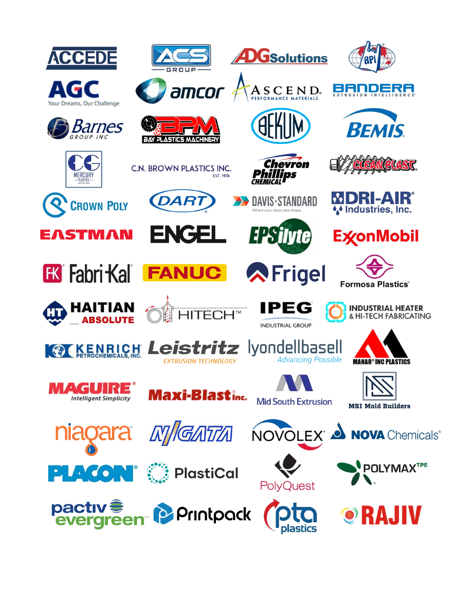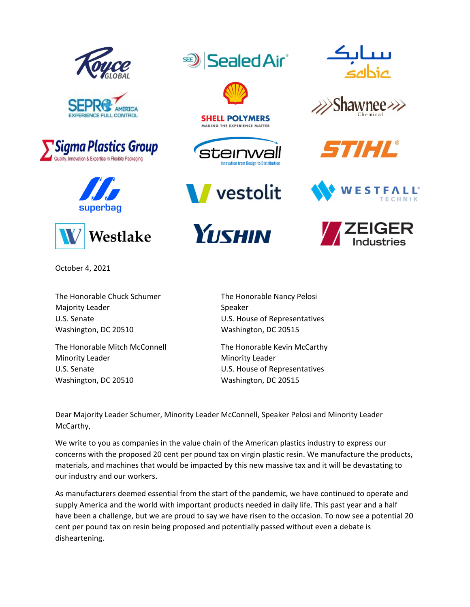









**SealedAir®**  $SE$ )



**SHELL POLYMERS** MAKING THE EXPERIENCE MATTER

















October 4, 2021

The Honorable Chuck Schumer The Honorable Nancy Pelosi Majority Leader **Majority Leader 2008** U.S. Senate U.S. House of Representatives Washington, DC 20510 Washington, DC 20515

Minority Leader **Minority Leader Ninority Leader** U.S. Senate **CELC CONTENTS** U.S. House of Representatives Washington, DC 20510 Washington, DC 20515

The Honorable Mitch McConnell The Honorable Kevin McCarthy

Dear Majority Leader Schumer, Minority Leader McConnell, Speaker Pelosi and Minority Leader McCarthy,

We write to you as companies in the value chain of the American plastics industry to express our concerns with the proposed 20 cent per pound tax on virgin plastic resin. We manufacture the products, materials, and machines that would be impacted by this new massive tax and it will be devastating to our industry and our workers.

As manufacturers deemed essential from the start of the pandemic, we have continued to operate and supply America and the world with important products needed in daily life. This past year and a half have been a challenge, but we are proud to say we have risen to the occasion. To now see a potential 20 cent per pound tax on resin being proposed and potentially passed without even a debate is disheartening.